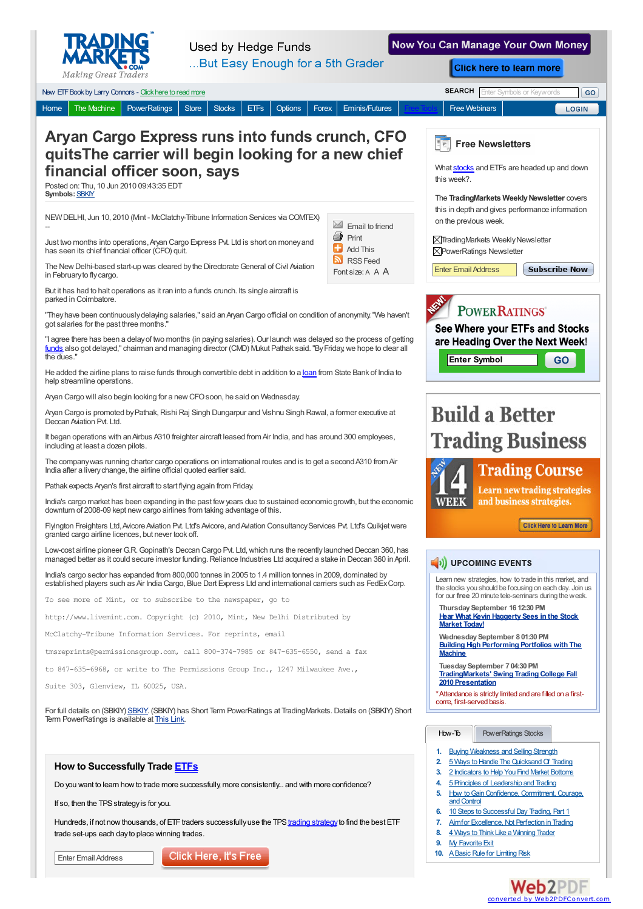

**Used by Hedge Funds** 

Now You Can Manage Your Own Money



Enter Email Address

## Click Here, It's Free

## **Web2PDF** converted by [Web2PDFConvert.com](http://www.web2pdfconvert.com?ref=PDF)

**9.** My [Favorite](http://www.tradingmarkets.com/.site/stocks/how_to/articles/My-Favorite-Exit-82193.cfm) Exit 10. A Basic Rule for Limiting Risk